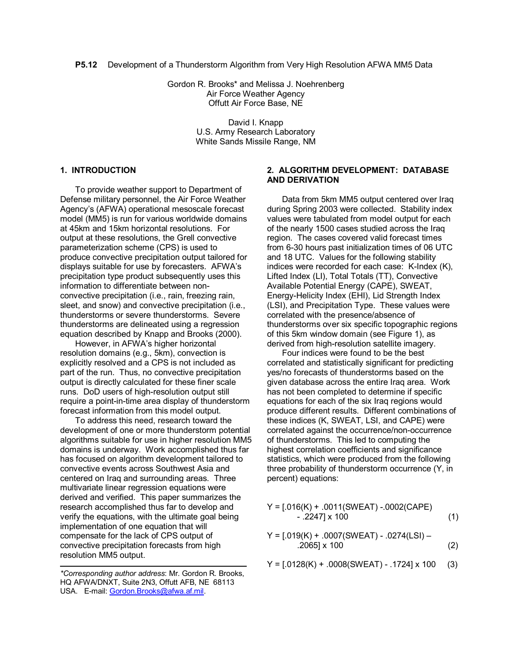**P5.12** Development of a Thunderstorm Algorithm from Very High Resolution AFWA MM5 Data

Gordon R. Brooks\* and Melissa J. Noehrenberg Air Force Weather Agency Offutt Air Force Base, NE

> David I. Knapp U.S. Army Research Laboratory White Sands Missile Range, NM

### **1. INTRODUCTION**

To provide weather support to Department of Defense military personnel, the Air Force Weather Agency's (AFWA) operational mesoscale forecast model (MM5) is run for various worldwide domains at 45km and 15km horizontal resolutions. For output at these resolutions, the Grell convective parameterization scheme (CPS) is used to produce convective precipitation output tailored for displays suitable for use by forecasters. AFWA's precipitation type product subsequently uses this information to differentiate between nonconvective precipitation (i.e., rain, freezing rain, sleet, and snow) and convective precipitation (i.e., thunderstorms or severe thunderstorms. Severe thunderstorms are delineated using a regression equation described by Knapp and Brooks (2000).

However, in AFWA's higher horizontal resolution domains (e.g., 5km), convection is explicitly resolved and a CPS is not included as part of the run. Thus, no convective precipitation output is directly calculated for these finer scale runs. DoD users of high-resolution output still require a point-in-time area display of thunderstorm forecast information from this model output.

To address this need, research toward the development of one or more thunderstorm potential algorithms suitable for use in higher resolution MM5 domains is underway. Work accomplished thus far has focused on algorithm development tailored to convective events across Southwest Asia and centered on Iraq and surrounding areas. Three multivariate linear regression equations were derived and verified. This paper summarizes the research accomplished thus far to develop and verify the equations, with the ultimate goal being implementation of one equation that will compensate for the lack of CPS output of convective precipitation forecasts from high resolution MM5 output.

## **2. ALGORITHM DEVELOPMENT: DATABASE AND DERIVATION**

Data from 5km MM5 output centered over Iraq during Spring 2003 were collected. Stability index values were tabulated from model output for each of the nearly 1500 cases studied across the Iraq region. The cases covered valid forecast times from 6-30 hours past initialization times of 06 UTC and 18 UTC. Values for the following stability indices were recorded for each case: K-Index (K), Lifted Index (LI), Total Totals (TT), Convective Available Potential Energy (CAPE), SWEAT, Energy-Helicity Index (EHI), Lid Strength Index (LSI), and Precipitation Type. These values were correlated with the presence/absence of thunderstorms over six specific topographic regions of this 5km window domain (see Figure 1), as derived from high-resolution satellite imagery.

Four indices were found to be the best correlated and statistically significant for predicting yes/no forecasts of thunderstorms based on the given database across the entire Iraq area. Work has not been completed to determine if specific equations for each of the six Iraq regions would produce different results. Different combinations of these indices (K, SWEAT, LSI, and CAPE) were correlated against the occurrence/non-occurrence of thunderstorms. This led to computing the highest correlation coefficients and significance statistics, which were produced from the following three probability of thunderstorm occurrence (Y, in percent) equations:

$$
Y = [.016(K) + .0011(SWEAT) - .0002(CAPE)
$$
  
- .2247] x 100 (1)

$$
Y = [.019(K) + .0007(SWEAT) - .0274(LSI) - .2065J \times 100
$$
 (2)

 $Y = [.0128(K) + .0008(SWEAT) - .1724] \times 100$  (3)

*<sup>\*</sup>Corresponding author address*: Mr. Gordon R. Brooks, HQ AFWA/DNXT, Suite 2N3, Offutt AFB, NE 68113 USA. E-mail: Gordon.Brooks@afwa.af.mil.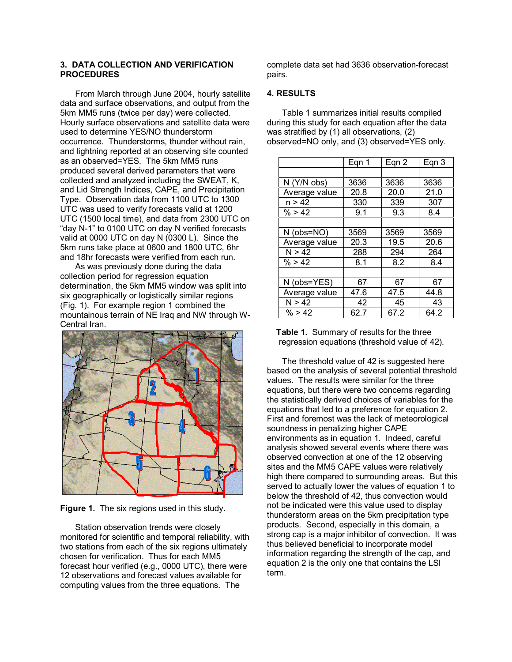### **3. DATA COLLECTION AND VERIFICATION PROCEDURES**

From March through June 2004, hourly satellite data and surface observations, and output from the 5km MM5 runs (twice per day) were collected. Hourly surface observations and satellite data were used to determine YES/NO thunderstorm occurrence. Thunderstorms, thunder without rain, and lightning reported at an observing site counted as an observed=YES. The 5km MM5 runs produced several derived parameters that were collected and analyzed including the SWEAT, K, and Lid Strength Indices, CAPE, and Precipitation Type. Observation data from 1100 UTC to 1300 UTC was used to verify forecasts valid at 1200 UTC (1500 local time), and data from 2300 UTC on "day N-1" to 0100 UTC on day N verified forecasts valid at 0000 UTC on day N (0300 L). Since the 5km runs take place at 0600 and 1800 UTC, 6hr and 18hr forecasts were verified from each run.

As was previously done during the data collection period for regression equation determination, the 5km MM5 window was split into six geographically or logistically similar regions (Fig. 1). For example region 1 combined the mountainous terrain of NE Iraq and NW through W-Central Iran.



**Figure 1.** The six regions used in this study.

Station observation trends were closely monitored for scientific and temporal reliability, with two stations from each of the six regions ultimately chosen for verification. Thus for each MM5 forecast hour verified (e.g., 0000 UTC), there were 12 observations and forecast values available for computing values from the three equations. The

complete data set had 3636 observation-forecast pairs.

## **4. RESULTS**

Table 1 summarizes initial results compiled during this study for each equation after the data was stratified by (1) all observations, (2) observed=NO only, and (3) observed=YES only.

|                  | Eqn 1 | Eqn 2 | Eqn 3 |
|------------------|-------|-------|-------|
|                  |       |       |       |
| N (Y/N obs)      | 3636  | 3636  | 3636  |
| Average value    | 20.8  | 20.0  | 21.0  |
| n > 42           | 330   | 339   | 307   |
| % > 42           | 9.1   | 9.3   | 8.4   |
|                  |       |       |       |
| $N$ (obs= $NO$ ) | 3569  | 3569  | 3569  |
| Average value    | 20.3  | 19.5  | 20.6  |
| N > 42           | 288   | 294   | 264   |
| % > 42           | 8.1   | 8.2   | 8.4   |
|                  |       |       |       |
| N (obs=YES)      | 67    | 67    | 67    |
| Average value    | 47.6  | 47.5  | 44.8  |
| N > 42           | 42    | 45    | 43    |
| % > 42           | 62.7  | 67.2  | 64.2  |

 **Table 1.** Summary of results for the three regression equations (threshold value of 42).

The threshold value of 42 is suggested here based on the analysis of several potential threshold values. The results were similar for the three equations, but there were two concerns regarding the statistically derived choices of variables for the equations that led to a preference for equation 2. First and foremost was the lack of meteorological soundness in penalizing higher CAPE environments as in equation 1. Indeed, careful analysis showed several events where there was observed convection at one of the 12 observing sites and the MM5 CAPE values were relatively high there compared to surrounding areas. But this served to actually lower the values of equation 1 to below the threshold of 42, thus convection would not be indicated were this value used to display thunderstorm areas on the 5km precipitation type products. Second, especially in this domain, a strong cap is a major inhibitor of convection. It was thus believed beneficial to incorporate model information regarding the strength of the cap, and equation 2 is the only one that contains the LSI term.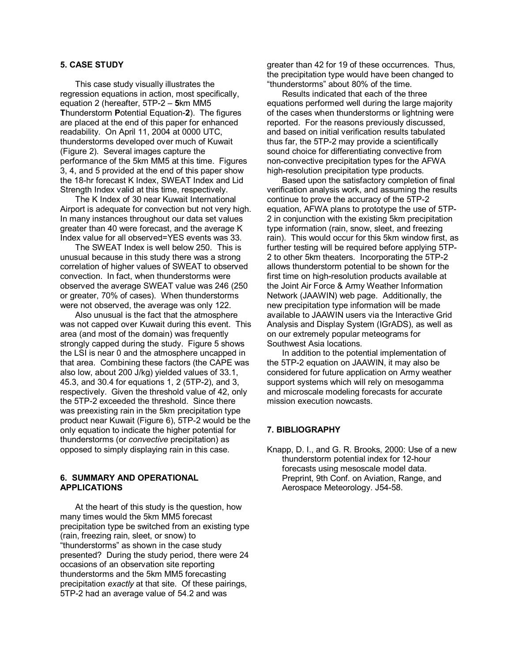# **5. CASE STUDY**

This case study visually illustrates the regression equations in action, most specifically, equation 2 (hereafter, 5TP-2 – **5**km MM5 **T**hunderstorm **P**otential Equation-**2**). The figures are placed at the end of this paper for enhanced readability. On April 11, 2004 at 0000 UTC, thunderstorms developed over much of Kuwait (Figure 2). Several images capture the performance of the 5km MM5 at this time. Figures 3, 4, and 5 provided at the end of this paper show the 18-hr forecast K Index, SWEAT Index and Lid Strength Index valid at this time, respectively.

The K Index of 30 near Kuwait International Airport is adequate for convection but not very high. In many instances throughout our data set values greater than 40 were forecast, and the average K Index value for all observed=YES events was 33.

The SWEAT Index is well below 250. This is unusual because in this study there was a strong correlation of higher values of SWEAT to observed convection. In fact, when thunderstorms were observed the average SWEAT value was 246 (250 or greater, 70% of cases). When thunderstorms were not observed, the average was only 122.

Also unusual is the fact that the atmosphere was not capped over Kuwait during this event. This area (and most of the domain) was frequently strongly capped during the study. Figure 5 shows the LSI is near 0 and the atmosphere uncapped in that area. Combining these factors (the CAPE was also low, about 200 J/kg) yielded values of 33.1, 45.3, and 30.4 for equations 1, 2 (5TP-2), and 3, respectively. Given the threshold value of 42, only the 5TP-2 exceeded the threshold. Since there was preexisting rain in the 5km precipitation type product near Kuwait (Figure 6), 5TP-2 would be the only equation to indicate the higher potential for thunderstorms (or *convective* precipitation) as opposed to simply displaying rain in this case.

#### **6. SUMMARY AND OPERATIONAL APPLICATIONS**

At the heart of this study is the question, how many times would the 5km MM5 forecast precipitation type be switched from an existing type (rain, freezing rain, sleet, or snow) to "thunderstorms" as shown in the case study presented? During the study period, there were 24 occasions of an observation site reporting thunderstorms and the 5km MM5 forecasting precipitation *exactly* at that site. Of these pairings, 5TP-2 had an average value of 54.2 and was

greater than 42 for 19 of these occurrences. Thus, the precipitation type would have been changed to "thunderstorms" about 80% of the time.

Results indicated that each of the three equations performed well during the large majority of the cases when thunderstorms or lightning were reported. For the reasons previously discussed, and based on initial verification results tabulated thus far, the 5TP-2 may provide a scientifically sound choice for differentiating convective from non-convective precipitation types for the AFWA high-resolution precipitation type products.

Based upon the satisfactory completion of final verification analysis work, and assuming the results continue to prove the accuracy of the 5TP-2 equation, AFWA plans to prototype the use of 5TP-2 in conjunction with the existing 5km precipitation type information (rain, snow, sleet, and freezing rain). This would occur for this 5km window first, as further testing will be required before applying 5TP-2 to other 5km theaters. Incorporating the 5TP-2 allows thunderstorm potential to be shown for the first time on high-resolution products available at the Joint Air Force & Army Weather Information Network (JAAWIN) web page. Additionally, the new precipitation type information will be made available to JAAWIN users via the Interactive Grid Analysis and Display System (IGrADS), as well as on our extremely popular meteograms for Southwest Asia locations.

In addition to the potential implementation of the 5TP-2 equation on JAAWIN, it may also be considered for future application on Army weather support systems which will rely on mesogamma and microscale modeling forecasts for accurate mission execution nowcasts.

#### **7. BIBLIOGRAPHY**

Knapp, D. I., and G. R. Brooks, 2000: Use of a new thunderstorm potential index for 12-hour forecasts using mesoscale model data. Preprint, 9th Conf. on Aviation, Range, and Aerospace Meteorology. J54-58.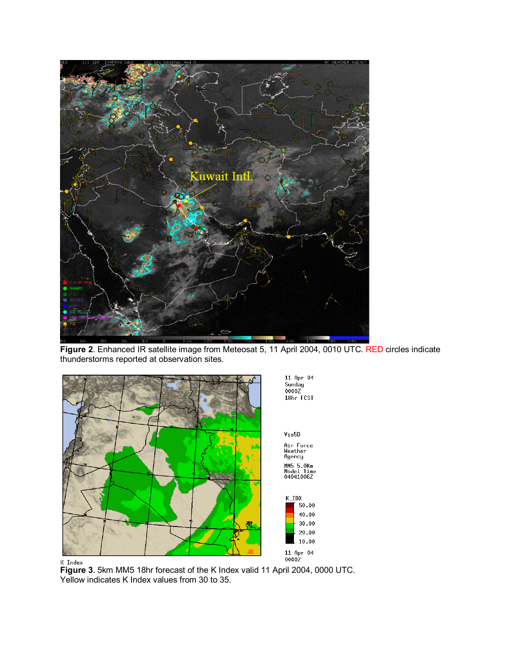

**Figure 2**. Enhanced IR satellite image from Meteosat 5, 11 April 2004, 0010 UTC. RED circles indicate thunderstorms reported at observation sites.





**Figure 3**. 5km MM5 18hr forecast of the K Index valid 11 April 2004, 0000 UTC. Yellow indicates K Index values from 30 to 35.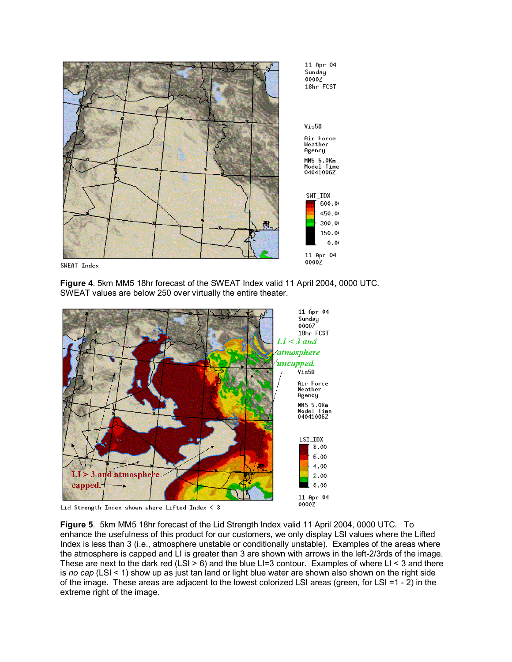

SWEAT Index

**Figure 4**. 5km MM5 18hr forecast of the SWEAT Index valid 11 April 2004, 0000 UTC. SWEAT values are below 250 over virtually the entire theater.



Lid Strength Index shown where Lifted Index  $\leq 3$ 

**Figure 5**. 5km MM5 18hr forecast of the Lid Strength Index valid 11 April 2004, 0000 UTC. To enhance the usefulness of this product for our customers, we only display LSI values where the Lifted Index is less than 3 (i.e., atmosphere unstable or conditionally unstable). Examples of the areas where the atmosphere is capped and LI is greater than 3 are shown with arrows in the left-2/3rds of the image. These are next to the dark red (LSI  $> 6$ ) and the blue LI=3 contour. Examples of where LI < 3 and there is *no cap* (LSI < 1) show up as just tan land or light blue water are shown also shown on the right side of the image. These areas are adjacent to the lowest colorized LSI areas (green, for LSI =1 - 2) in the extreme right of the image.